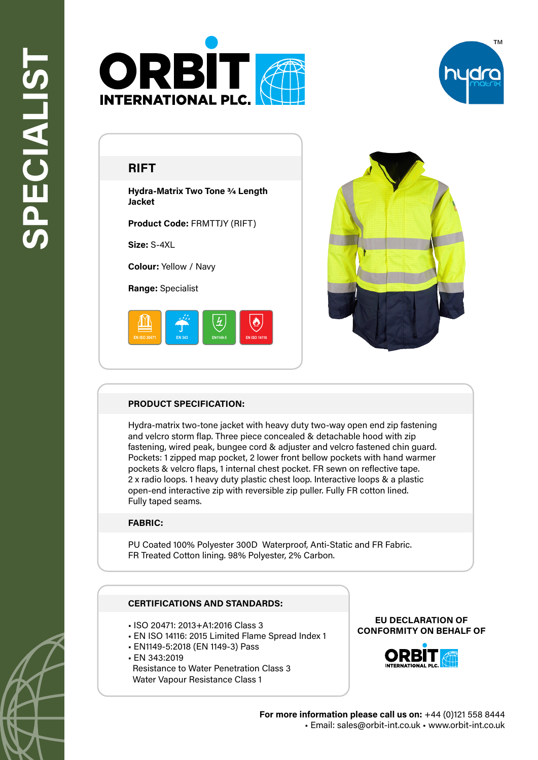



# **RIFT**

**Hydra-Matrix Two Tone 3/4 Length Jacket**

**Product Code:** FRMTTJY (RIFT)

**Size:** S-4XL

**Colour:** Yellow / Navy

**Range:** Specialist





### **PRODUCT SPECIFICATION:**

Hydra-matrix two-tone jacket with heavy duty two-way open end zip fastening and velcro storm flap. Three piece concealed & detachable hood with zip fastening, wired peak, bungee cord & adjuster and velcro fastened chin guard. Pockets: 1 zipped map pocket, 2 lower front bellow pockets with hand warmer pockets & velcro flaps, 1 internal chest pocket. FR sewn on reflective tape. 2 x radio loops. 1 heavy duty plastic chest loop. Interactive loops & a plastic open-end interactive zip with reversible zip puller. Fully FR cotton lined. Fully taped seams.

## **FABRIC:**

PU Coated 100% Polyester 300D Waterproof, Anti-Static and FR Fabric. FR Treated Cotton lining. 98% Polyester, 2% Carbon.

### **CERTIFICATIONS AND STANDARDS:**

- ISO 20471: 2013+A1:2016 Class 3
- EN ISO 14116: 2015 Limited Flame Spread Index 1
- EN1149-5:2018 (EN 1149-3) Pass
- EN 343:2019 Resistance to Water Penetration Class 3 Water Vapour Resistance Class 1

#### **EU DECLARATION OF CONFORMITY ON BEHALF OF**



**For more information please call us on:** +44 (0)121 558 8444 • Email: sales@orbit-int.co.uk • www.orbit-int.co.uk